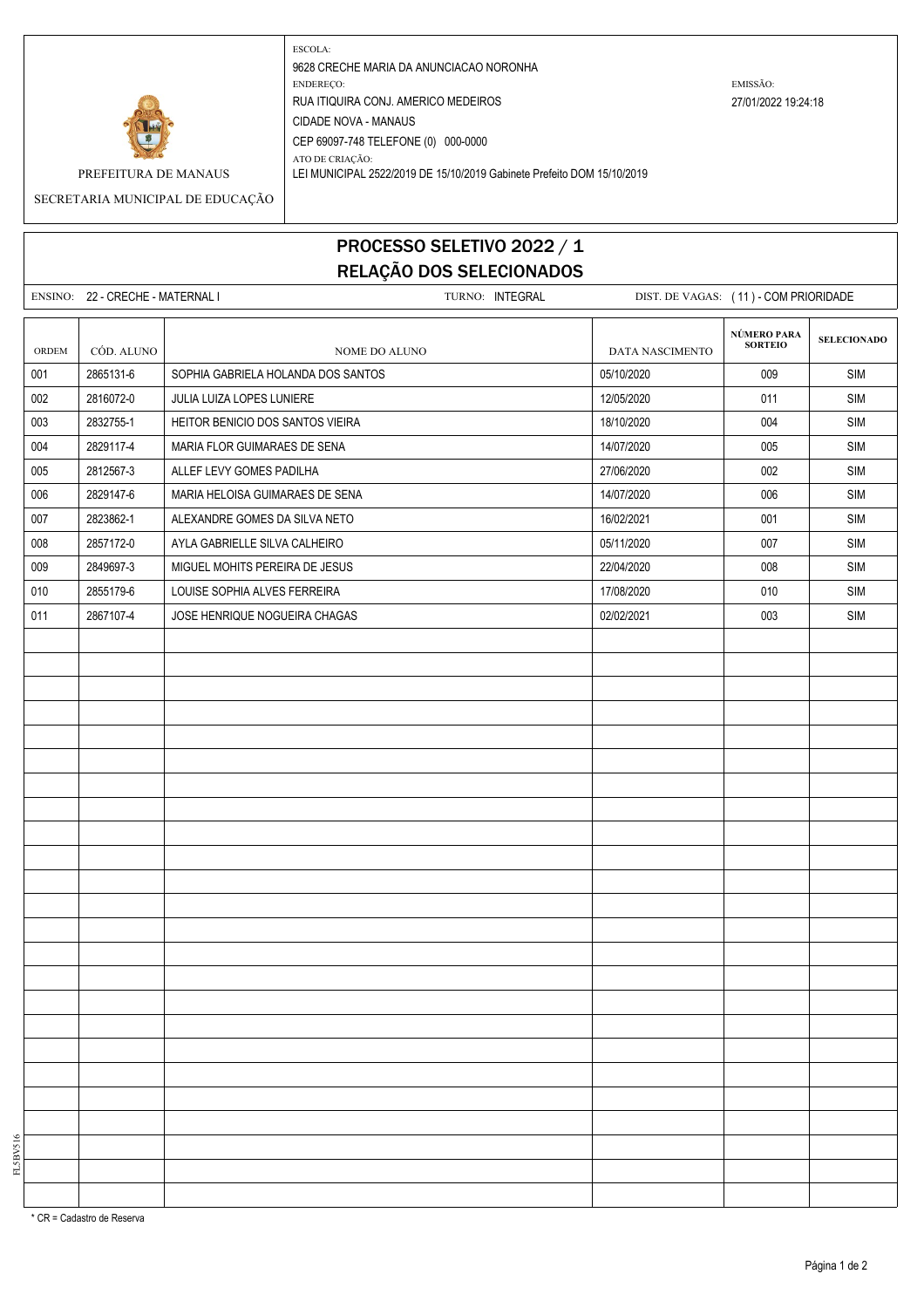

ESCOLA: 9628 CRECHE MARIA DA ANUNCIACAO NORONHA ENDEREÇO: EMISSÃO: RUA ITIQUIRA CONJ. AMERICO MEDEIROS 27/01/2022 19:24:18 CIDADE NOVA - MANAUS CEP 69097-748 TELEFONE (0) 000-0000 ATO DE CRIAÇÃO:

PREFEITURA DE MANAUS LEI MUNICIPAL 2522/2019 DE 15/10/2019 Gabinete Prefeito DOM 15/10/2019

SECRETARIA MUNICIPAL DE EDUCAÇÃO

## PROCESSO SELETIVO 2022 / 1 RELAÇÃO DOS SELECIONADOS

|       | ENSINO: 22 - CRECHE - MATERNAL I | TURNO: INTEGRAL                    |                 | DIST. DE VAGAS: (11) - COM PRIORIDADE |                    |  |
|-------|----------------------------------|------------------------------------|-----------------|---------------------------------------|--------------------|--|
|       |                                  |                                    |                 |                                       |                    |  |
| ORDEM | CÓD. ALUNO                       | NOME DO ALUNO                      | DATA NASCIMENTO | NÚMERO PARA<br>SORTEIO                | <b>SELECIONADO</b> |  |
| 001   | 2865131-6                        | SOPHIA GABRIELA HOLANDA DOS SANTOS | 05/10/2020      | 009                                   | SIM                |  |
| 002   | 2816072-0                        | JULIA LUIZA LOPES LUNIERE          | 12/05/2020      | 011                                   | SIM                |  |
| 003   | 2832755-1                        | HEITOR BENICIO DOS SANTOS VIEIRA   | 18/10/2020      | 004                                   | SIM                |  |
| 004   | 2829117-4                        | MARIA FLOR GUIMARAES DE SENA       | 14/07/2020      | 005                                   | SIM                |  |
| 005   | 2812567-3                        | ALLEF LEVY GOMES PADILHA           | 27/06/2020      | 002                                   | <b>SIM</b>         |  |
| 006   | 2829147-6                        | MARIA HELOISA GUIMARAES DE SENA    | 14/07/2020      | 006                                   | SIM                |  |
| 007   | 2823862-1                        | ALEXANDRE GOMES DA SILVA NETO      | 16/02/2021      | 001                                   | SIM                |  |
| 008   | 2857172-0                        | AYLA GABRIELLE SILVA CALHEIRO      | 05/11/2020      | 007                                   | SIM                |  |
| 009   | 2849697-3                        | MIGUEL MOHITS PEREIRA DE JESUS     | 22/04/2020      | 008                                   | SIM                |  |
| 010   | 2855179-6                        | LOUISE SOPHIA ALVES FERREIRA       | 17/08/2020      | 010                                   | SIM                |  |
| 011   | 2867107-4                        | JOSE HENRIQUE NOGUEIRA CHAGAS      | 02/02/2021      | 003                                   | SIM                |  |
|       |                                  |                                    |                 |                                       |                    |  |
|       |                                  |                                    |                 |                                       |                    |  |
|       |                                  |                                    |                 |                                       |                    |  |
|       |                                  |                                    |                 |                                       |                    |  |
|       |                                  |                                    |                 |                                       |                    |  |
|       |                                  |                                    |                 |                                       |                    |  |
|       |                                  |                                    |                 |                                       |                    |  |
|       |                                  |                                    |                 |                                       |                    |  |
|       |                                  |                                    |                 |                                       |                    |  |
|       |                                  |                                    |                 |                                       |                    |  |
|       |                                  |                                    |                 |                                       |                    |  |
|       |                                  |                                    |                 |                                       |                    |  |
|       |                                  |                                    |                 |                                       |                    |  |
|       |                                  |                                    |                 |                                       |                    |  |
|       |                                  |                                    |                 |                                       |                    |  |
|       |                                  |                                    |                 |                                       |                    |  |
|       |                                  |                                    |                 |                                       |                    |  |
|       |                                  |                                    |                 |                                       |                    |  |
|       |                                  |                                    |                 |                                       |                    |  |
|       |                                  |                                    |                 |                                       |                    |  |
|       |                                  |                                    |                 |                                       |                    |  |
|       |                                  |                                    |                 |                                       |                    |  |
|       |                                  |                                    |                 |                                       |                    |  |
|       |                                  |                                    |                 |                                       |                    |  |

\* CR = Cadastro de Reserva

FL5BV516